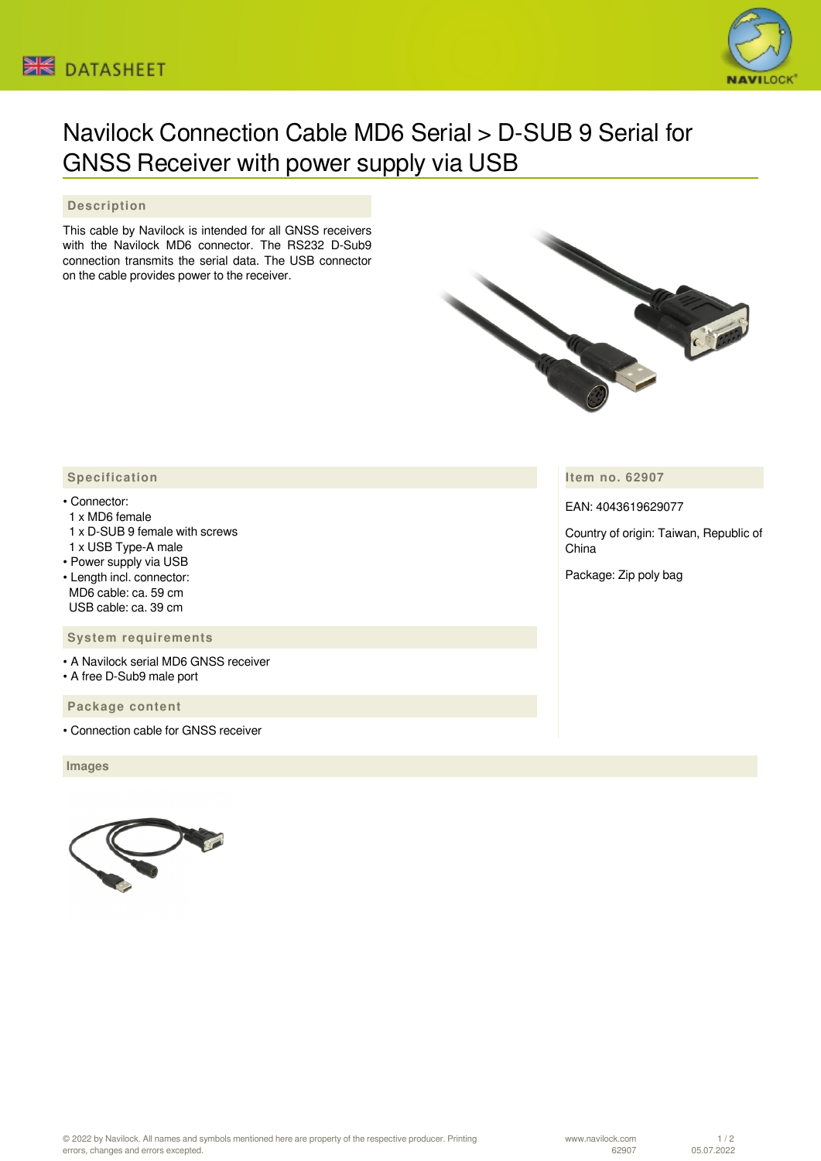



# Navilock Connection Cable MD6 Serial > D-SUB 9 Serial for GNSS Receiver with power supply via USB

# **Description**

This cable by Navilock is intended for all GNSS receivers with the Navilock MD6 connector. The RS232 D-Sub9 connection transmits the serial data. The USB connector on the cable provides power to the receiver.



**Item no. 62907**

EAN: 4043619629077

Country of origin: Taiwan, Republic of China

Package: Zip poly bag

## **Specification**

#### • Connector:

- 1 x MD6 female
- 1 x D-SUB 9 female with screws
- 1 x USB Type-A male
- Power supply via USB
- Length incl. connector: MD6 cable: ca. 59 cm USB cable: ca. 39 cm

### **System requirements**

- A Navilock serial MD6 GNSS receiver
- A free D-Sub9 male port

## **Package content**

• Connection cable for GNSS receiver

 **Images**